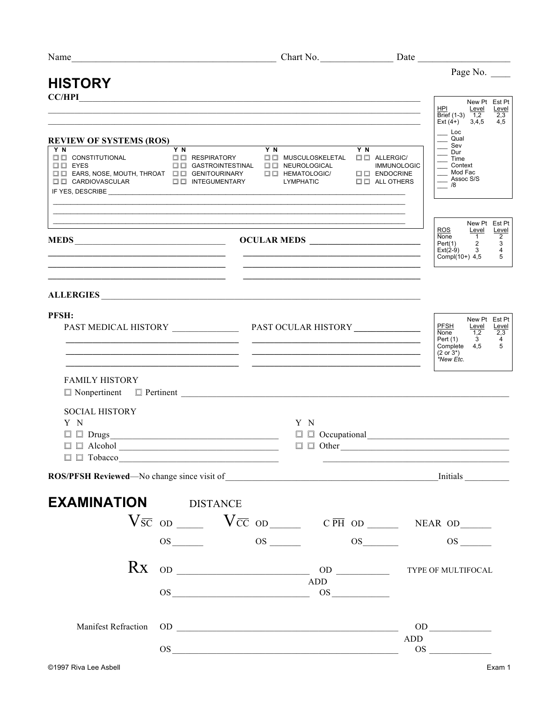| Name<br><u> 1989 - Johann Barn, mars eta bat erroman erroman erroman erroman erroman erroman erroman erroman erroman err</u> |                                                                                                                                                                                                                                                                                                                                    |                                                                                                                        |                                                      |                                                                                                                                                       |
|------------------------------------------------------------------------------------------------------------------------------|------------------------------------------------------------------------------------------------------------------------------------------------------------------------------------------------------------------------------------------------------------------------------------------------------------------------------------|------------------------------------------------------------------------------------------------------------------------|------------------------------------------------------|-------------------------------------------------------------------------------------------------------------------------------------------------------|
| <b>HISTORY</b>                                                                                                               |                                                                                                                                                                                                                                                                                                                                    |                                                                                                                        |                                                      | Page No.                                                                                                                                              |
| CC/HPI                                                                                                                       | <u> 1989 - Johann Stoff, amerikansk politiker (d. 1989)</u>                                                                                                                                                                                                                                                                        |                                                                                                                        |                                                      | New Pt Est Pt<br><b>HPI</b><br>Level<br>Level<br>Brief $(1-3)$ $1,2$<br>2,3<br>$Ext(4+)$ 3,4,5<br>4,5                                                 |
| <b>REVIEW OF SYSTEMS (ROS)</b>                                                                                               |                                                                                                                                                                                                                                                                                                                                    |                                                                                                                        |                                                      | $\_$ Loc<br>$\overline{\phantom{a}}$ Qual                                                                                                             |
| $\square \ \square$ CARDIOVASCULAR $\square \ \square$ INTEGUMENTARY                                                         |                                                                                                                                                                                                                                                                                                                                    | $\square$ $\square$ ENDOCRINE                                                                                          | <b>IMMUNOLOGIC</b><br>$\square$ $\square$ ALL OTHERS | $\equiv$ Sev<br>$\equiv$ Dur<br>$\overline{\phantom{a}}$ Time<br>$\equiv$ Context<br>Mod Fac<br>__ Assoc S/S<br>$\frac{1}{18}$                        |
| ,我们也不能在这里的人,我们也不能在这里的人,我们也不能在这里的人,我们也不能在这里的人,我们也不能在这里的人,我们也不能在这里的人,我们也不能在这里的人,我们也                                            |                                                                                                                                                                                                                                                                                                                                    |                                                                                                                        |                                                      | New Pt Est Pt<br>ROS<br>Level<br><b>Level</b><br>None<br>Pert(1) 2<br>Ext(2-9) 3<br>$\overline{c}$<br>3                                               |
|                                                                                                                              |                                                                                                                                                                                                                                                                                                                                    | <u> 1989 - Johann Barn, mars ann an t-Amhain ann an t-Amhain an t-Amhain an t-Amhain an t-Amhain an t-Amhain an t-</u> |                                                      | $\overline{4}$<br>Compl(10+) $4,5$ 5                                                                                                                  |
| ALLERGIES                                                                                                                    |                                                                                                                                                                                                                                                                                                                                    |                                                                                                                        |                                                      |                                                                                                                                                       |
| PFSH:                                                                                                                        |                                                                                                                                                                                                                                                                                                                                    |                                                                                                                        |                                                      | New Pt Est Pt<br><b>PFSH</b><br>Level<br>Level<br>None<br>1,2<br>2,3<br>Pert (1)<br>$3^{\circ}$<br>4<br>Complete $4,5$ 5<br>$(2 or 3^*)$<br>*New Etc. |
| <b>FAMILY HISTORY</b><br>$\Box$ Nonpertinent $\Box$ Pertinent $\Box$                                                         |                                                                                                                                                                                                                                                                                                                                    |                                                                                                                        |                                                      |                                                                                                                                                       |
| <b>SOCIAL HISTORY</b><br>Y N<br>$\Box$ $\Box$ Drugs<br>$\square$ $\square$ Alcohol                                           | Y N<br><u> 1989 - Johann Barbara, martxa alemaniar arg</u>                                                                                                                                                                                                                                                                         | $\square$ $\square$ Other                                                                                              |                                                      |                                                                                                                                                       |
|                                                                                                                              |                                                                                                                                                                                                                                                                                                                                    |                                                                                                                        |                                                      |                                                                                                                                                       |
| <b>EXAMINATION DISTANCE</b>                                                                                                  |                                                                                                                                                                                                                                                                                                                                    |                                                                                                                        |                                                      |                                                                                                                                                       |
|                                                                                                                              | $V\bar{s}\bar{c}$ od $V\bar{c}\bar{c}$ od $C\bar{p}\bar{H}$ od $N\bar{c}$ NEAR od $N\bar{c}$                                                                                                                                                                                                                                       |                                                                                                                        |                                                      |                                                                                                                                                       |
|                                                                                                                              | $\overline{\text{OS}}$ os os os $\overline{\text{OS}}$                                                                                                                                                                                                                                                                             |                                                                                                                        |                                                      | $OS$ <sub>______</sub>                                                                                                                                |
|                                                                                                                              | $\overline{R}X$ od $\overline{R}X$ od $\overline{R}X$ or $\overline{R}X$ or $\overline{R}X$ or $\overline{R}X$ or $\overline{R}X$ or $\overline{R}X$ or $\overline{R}X$ or $\overline{R}X$ or $\overline{R}X$ or $\overline{R}X$ or $\overline{R}X$ or $\overline{R}X$ or $\overline{R}X$ or $\overline{R}X$ or $\overline{R}X$ or |                                                                                                                        |                                                      |                                                                                                                                                       |
|                                                                                                                              | $\cos \frac{\pi}{2}$ and $\cos \frac{\pi}{2}$ and $\cos \frac{\pi}{2}$ and $\cos \frac{\pi}{2}$ and $\cos \frac{\pi}{2}$ and $\cos \frac{\pi}{2}$                                                                                                                                                                                  | ADD                                                                                                                    |                                                      |                                                                                                                                                       |
| <b>Manifest Refraction</b>                                                                                                   | $\begin{tabular}{c} 0D \end{tabular}$                                                                                                                                                                                                                                                                                              |                                                                                                                        |                                                      |                                                                                                                                                       |
|                                                                                                                              | $\overline{\text{OS}}$                                                                                                                                                                                                                                                                                                             |                                                                                                                        | ADD                                                  | OS                                                                                                                                                    |